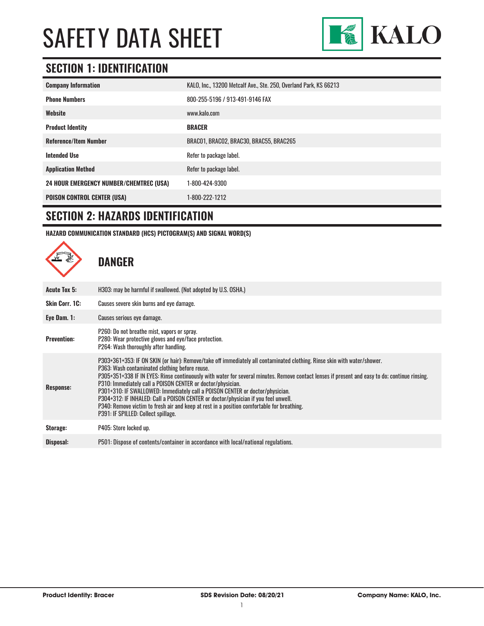

### **SECTION 1: IDENTIFICATION**

| <b>Company Information</b>                     | KALO, Inc., 13200 Metcalf Ave., Ste. 250, Overland Park, KS 66213 |
|------------------------------------------------|-------------------------------------------------------------------|
| <b>Phone Numbers</b>                           | 800-255-5196 / 913-491-9146 FAX                                   |
| Website                                        | www.kalo.com                                                      |
| <b>Product Identity</b>                        | <b>BRACER</b>                                                     |
| <b>Reference/Item Number</b>                   | BRACO1, BRACO2, BRAC30, BRAC55, BRAC265                           |
| <b>Intended Use</b>                            | Refer to package label.                                           |
| <b>Application Method</b>                      | Refer to package label.                                           |
| <b>24 HOUR EMERGENCY NUMBER/CHEMTREC (USA)</b> | 1-800-424-9300                                                    |
| <b>POISON CONTROL CENTER (USA)</b>             | 1-800-222-1212                                                    |

### **SECTION 2: HAZARDS IDENTIFICATION**

**HAZARD COMMUNICATION STANDARD (HCS) PICTOGRAM(S) AND SIGNAL WORD(S)**

**DANGER Acute Tox 5:** H303: may be harmful if swallowed. (Not adopted by U.S. OSHA.) **Skin Corr. 1C:** Causes severe skin burns and eye damage. **Eye Dam. 1:** Causes serious eye damage. **Prevention:** P260: Do not breathe mist, vapors or spray. P280: Wear protective gloves and eye/face protection. P264: Wash thoroughly after handling. **Response:** P303+361+353: IF ON SKIN (or hair): Remove/take off immediately all contaminated clothing. Rinse skin with water/shower. P363: Wash contaminated clothing before reuse. P305+351+338 IF IN EYES: Rinse continuously with water for several minutes. Remove contact lenses if present and easy to do; continue rinsing. P310: Immediately call a POISON CENTER or doctor/physician. P301+310: IF SWALLOWED: Immediately call a POISON CENTER or doctor/physician. P304+312: IF INHALED: Call a POISON CENTER or doctor/physician if you feel unwell. P340: Remove victim to fresh air and keep at rest in a position comfortable for breathing. P391: IF SPILLED: Collect spillage. **Storage:** P405: Store locked up. **Disposal:** P501: Dispose of contents/container in accordance with local/national regulations.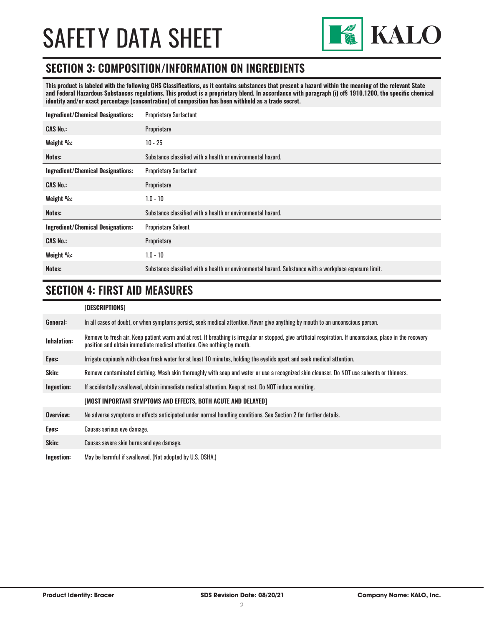

### **SECTION 3: COMPOSITION/INFORMATION ON INGREDIENTS**

**This product is labeled with the following GHS Classifications, as it contains substances that present a hazard within the meaning of the relevant State and Federal Hazardous Substances regulations. This product is a proprietary blend. In accordance with paragraph (i) of§ 1910.1200, the specific chemical identity and/or exact percentage (concentration) of composition has been withheld as a trade secret.**

| <b>Ingredient/Chemical Designations:</b> | <b>Proprietary Surfactant</b>                                                                          |  |
|------------------------------------------|--------------------------------------------------------------------------------------------------------|--|
| <b>CAS No.:</b>                          | Proprietary                                                                                            |  |
| Weight %:                                | $10 - 25$                                                                                              |  |
| Notes:                                   | Substance classified with a health or environmental hazard.                                            |  |
| <b>Ingredient/Chemical Designations:</b> | <b>Proprietary Surfactant</b>                                                                          |  |
| <b>CAS No.:</b>                          | Proprietary                                                                                            |  |
| Weight %:                                | $1.0 - 10$                                                                                             |  |
| Notes:                                   | Substance classified with a health or environmental hazard.                                            |  |
| <b>Ingredient/Chemical Designations:</b> | <b>Proprietary Solvent</b>                                                                             |  |
| <b>CAS No.:</b>                          | Proprietary                                                                                            |  |
| Weight %:                                | $1.0 - 10$                                                                                             |  |
| Notes:                                   | Substance classified with a health or environmental hazard. Substance with a workplace exposure limit. |  |
|                                          |                                                                                                        |  |

## **SECTION 4: FIRST AID MEASURES**

#### **[DESCRIPTIONS]**

|                    | וטווטוו ווווטעבען                                                                                                                                                                                                                       |
|--------------------|-----------------------------------------------------------------------------------------------------------------------------------------------------------------------------------------------------------------------------------------|
| General:           | In all cases of doubt, or when symptoms persist, seek medical attention. Never give anything by mouth to an unconscious person.                                                                                                         |
| <b>Inhalation:</b> | Remove to fresh air. Keep patient warm and at rest. If breathing is irregular or stopped, give artificial respiration. If unconscious, place in the recovery<br>position and obtain immediate medical attention. Give nothing by mouth. |
| Eyes:              | Irrigate copiously with clean fresh water for at least 10 minutes, holding the eyelids apart and seek medical attention.                                                                                                                |
| Skin:              | Remove contaminated clothing. Wash skin thoroughly with soap and water or use a recognized skin cleanser. Do NOT use solvents or thinners.                                                                                              |
| Ingestion:         | If accidentally swallowed, obtain immediate medical attention. Keep at rest, Do NOT induce vomiting.                                                                                                                                    |
|                    | [MOST IMPORTANT SYMPTOMS AND EFFECTS, BOTH ACUTE AND DELAYED]                                                                                                                                                                           |
| Overview:          | No adverse symptoms or effects anticipated under normal handling conditions. See Section 2 for further details.                                                                                                                         |
| Eyes:              | Causes serious eye damage.                                                                                                                                                                                                              |
| Skin:              | Causes severe skin burns and eye damage.                                                                                                                                                                                                |
| Ingestion:         | May be harmful if swallowed. (Not adopted by U.S. OSHA.)                                                                                                                                                                                |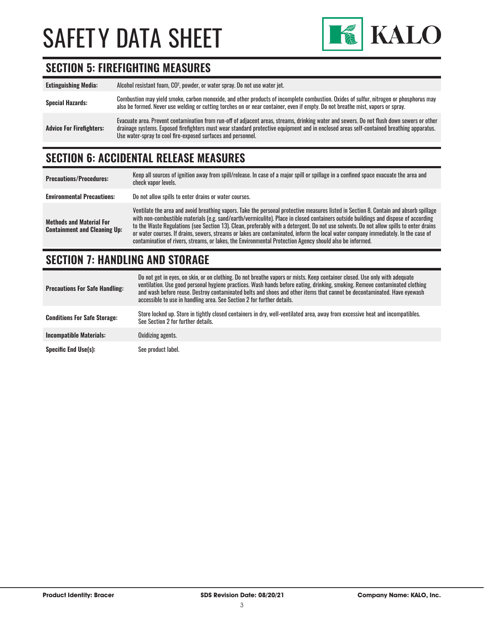

## **SECTION 5: FIREFIGHTING MEASURES**

| <b>Extinguishing Media:</b>     | Alcohol resistant foam, CO <sup>2</sup> , powder, or water spray. Do not use water jet.                                                                                                                                                                                                                                                                |
|---------------------------------|--------------------------------------------------------------------------------------------------------------------------------------------------------------------------------------------------------------------------------------------------------------------------------------------------------------------------------------------------------|
| <b>Special Hazards:</b>         | Combustion may yield smoke, carbon monoxide, and other products of incomplete combustion. Oxides of sulfur, nitrogen or phosphorus may<br>also be formed. Never use welding or cutting torches on or near container, even if empty. Do not breathe mist, vapors or spray.                                                                              |
| <b>Advice For Firefighters:</b> | Evacuate area. Prevent contamination from run-off of adjacent areas, streams, drinking water and sewers. Do not flush down sewers or other<br>drainage systems. Exposed firefighters must wear standard protective equipment and in enclosed areas self-contained breathing apparatus.<br>Use water-spray to cool fire-exposed surfaces and personnel. |

### **SECTION 6: ACCIDENTAL RELEASE MEASURES**

| <b>Precautions/Procedures:</b>                                         | Keep all sources of ignition away from spill/release. In case of a major spill or spillage in a confined space evacuate the area and<br>check vapor levels.                                                                                                                                                                                                                                                                                                                                                                                                                                                                                                               |
|------------------------------------------------------------------------|---------------------------------------------------------------------------------------------------------------------------------------------------------------------------------------------------------------------------------------------------------------------------------------------------------------------------------------------------------------------------------------------------------------------------------------------------------------------------------------------------------------------------------------------------------------------------------------------------------------------------------------------------------------------------|
| <b>Environmental Precautions:</b>                                      | Do not allow spills to enter drains or water courses.                                                                                                                                                                                                                                                                                                                                                                                                                                                                                                                                                                                                                     |
| <b>Methods and Material For</b><br><b>Containment and Cleaning Up:</b> | Ventilate the area and avoid breathing vapors. Take the personal protective measures listed in Section 8. Contain and absorb spillage<br>with non-combustible materials (e.g. sand/earth/vermiculite). Place in closed containers outside buildings and dispose of according<br>to the Waste Regulations (see Section 13). Clean, preferably with a detergent. Do not use solvents. Do not allow spills to enter drains<br>or water courses. If drains, sewers, streams or lakes are contaminated, inform the local water company immediately. In the case of<br>contamination of rivers, streams, or lakes, the Environmental Protection Agency should also be informed. |

## **SECTION 7: HANDLING AND STORAGE**

| <b>Precautions For Safe Handling:</b> | Do not get in eyes, on skin, or on clothing. Do not breathe vapors or mists. Keep container closed. Use only with adequate<br>ventilation. Use good personal hygiene practices. Wash hands before eating, drinking, smoking. Remove contaminated clothing<br>and wash before reuse. Destroy contaminated belts and shoes and other items that cannot be decontaminated. Have eyewash<br>accessible to use in handling area. See Section 2 for further details. |
|---------------------------------------|----------------------------------------------------------------------------------------------------------------------------------------------------------------------------------------------------------------------------------------------------------------------------------------------------------------------------------------------------------------------------------------------------------------------------------------------------------------|
| <b>Conditions For Safe Storage:</b>   | Store locked up. Store in tightly closed containers in dry, well-ventilated area, away from excessive heat and incompatibles.<br>See Section 2 for further details.                                                                                                                                                                                                                                                                                            |
| <b>Incompatible Materials:</b>        | Oxidizing agents.                                                                                                                                                                                                                                                                                                                                                                                                                                              |
| <b>Specific End Use(s):</b>           | See product label.                                                                                                                                                                                                                                                                                                                                                                                                                                             |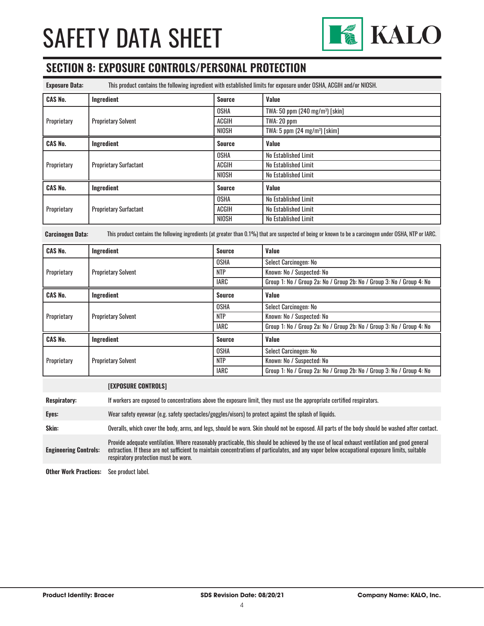

## **SECTION 8: EXPOSURE CONTROLS/PERSONAL PROTECTION**

| <b>Exposure Data:</b> | This product contains the following ingredient with established limits for exposure under OSHA, ACGIH and/or NIOSH. |               |                                             |
|-----------------------|---------------------------------------------------------------------------------------------------------------------|---------------|---------------------------------------------|
| <b>CAS No.</b>        | Ingredient                                                                                                          | <b>Source</b> | Value                                       |
| Proprietary           | <b>Proprietary Solvent</b>                                                                                          | <b>OSHA</b>   | TWA: 50 ppm $(240 \text{ mg/m}^3)$ [skin]   |
|                       |                                                                                                                     | <b>ACGIH</b>  | TWA: 20 ppm                                 |
|                       |                                                                                                                     | NIOSH         | TWA: $5$ ppm (24 mg/m <sup>3</sup> ) [skim] |
| <b>CAS No.</b>        | Ingredient                                                                                                          | <b>Source</b> | Value                                       |
| Proprietary           | <b>Proprietary Surfactant</b>                                                                                       | <b>OSHA</b>   | No Established Limit                        |
|                       |                                                                                                                     | <b>ACGIH</b>  | No Established Limit                        |
|                       |                                                                                                                     | NIOSH         | No Established Limit                        |
| <b>CAS No.</b>        | Ingredient                                                                                                          | Source        | Value                                       |
| Proprietary           | <b>Proprietary Surfactant</b>                                                                                       | <b>OSHA</b>   | No Established Limit                        |
|                       |                                                                                                                     | <b>ACGIH</b>  | No Established Limit                        |
|                       |                                                                                                                     | NIOSH         | No Established Limit                        |

**Carcinogen Data:** This product contains the following ingredients (at greater than 0.1%) that are suspected of being or known to be a carcinogen under OSHA, NTP or IARC.

| <b>CAS No.</b> | Ingredient                 | <b>Source</b> | Value                                                                 |
|----------------|----------------------------|---------------|-----------------------------------------------------------------------|
|                | <b>Proprietary Solvent</b> | <b>OSHA</b>   | Select Carcinogen: No                                                 |
| Proprietary    |                            | <b>NTP</b>    | Known: No / Suspected: No                                             |
|                |                            | IARC          | Group 1: No / Group 2a: No / Group 2b: No / Group 3: No / Group 4: No |
| <b>CAS No.</b> | Ingredient                 | Source        | Value                                                                 |
| Proprietary    | <b>Proprietary Solvent</b> | <b>OSHA</b>   | Select Carcinogen: No                                                 |
|                |                            | <b>NTP</b>    | Known: No / Suspected: No                                             |
|                |                            | IARC          | Group 1: No / Group 2a: No / Group 2b: No / Group 3: No / Group 4: No |
| <b>CAS No.</b> | Ingredient                 | <b>Source</b> | Value                                                                 |
|                |                            | <b>OSHA</b>   | Select Carcinogen: No                                                 |
| Proprietary    | <b>Proprietary Solvent</b> | <b>NTP</b>    | Known: No / Suspected: No                                             |
|                |                            | <b>IARC</b>   | Group 1: No / Group 2a: No / Group 2b: No / Group 3: No / Group 4: No |

#### **[EXPOSURE CONTROLS]**

**Respiratory:** If workers are exposed to concentrations above the exposure limit, they must use the appropriate certified respirators.

**Eyes:** Wear safety eyewear (e.g. safety spectacles/goggles/visors) to protect against the splash of liquids.

**Skin:** Overalls, which cover the body, arms, and legs, should be worn. Skin should not be exposed. All parts of the body should be washed after contact.

**Engineering Controls:** Provide adequate ventilation. Where reasonably practicable, this should be achieved by the use of local exhaust ventilation and good general extraction. If these are not sufficient to maintain concentrations of particulates, and any vapor below occupational exposure limits, suitable respiratory protection must be worn.

**Other Work Practices:** See product label.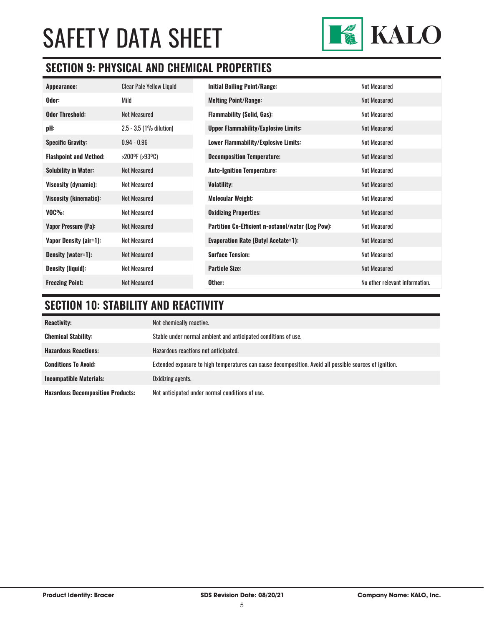

## **SECTION 9: PHYSICAL AND CHEMICAL PROPERTIES**

| Appearance:                   | <b>Clear Pale Yellow Liquid</b> | <b>Initial Boiling Point/Range:</b>                      | <b>Not Measured</b>            |
|-------------------------------|---------------------------------|----------------------------------------------------------|--------------------------------|
| Odor:                         | Mild                            | <b>Melting Point/Range:</b>                              | <b>Not Measured</b>            |
| <b>Odor Threshold:</b>        | <b>Not Measured</b>             | <b>Flammability (Solid, Gas):</b>                        | <b>Not Measured</b>            |
| pH:                           | 2.5 - 3.5 (1% dilution)         | <b>Upper Flammability/Explosive Limits:</b>              | <b>Not Measured</b>            |
| <b>Specific Gravity:</b>      | $0.94 - 0.96$                   | <b>Lower Flammability/Explosive Limits:</b>              | <b>Not Measured</b>            |
| <b>Flashpoint and Method:</b> | >200ºF (>93ºC)                  | <b>Decomposition Temperature:</b>                        | <b>Not Measured</b>            |
| <b>Solubility in Water:</b>   | Not Measured                    | <b>Auto-Ignition Temperature:</b>                        | Not Measured                   |
| Viscosity (dynamic):          | <b>Not Measured</b>             | <b>Volatility:</b>                                       | <b>Not Measured</b>            |
| <b>Viscosity (kinematic):</b> | Not Measured                    | <b>Molecular Weight:</b>                                 | <b>Not Measured</b>            |
| $VOC\%$ :                     | <b>Not Measured</b>             | <b>Oxidizing Properties:</b>                             | Not Measured                   |
| Vapor Pressure (Pa):          | <b>Not Measured</b>             | <b>Partition Co-Efficient n-octanol/water (Log Pow):</b> | <b>Not Measured</b>            |
| Vapor Density (air=1):        | <b>Not Measured</b>             | <b>Evaporation Rate (Butyl Acetate=1):</b>               | <b>Not Measured</b>            |
| Density (water=1):            | <b>Not Measured</b>             | <b>Surface Tension:</b>                                  | <b>Not Measured</b>            |
| <b>Density (liquid):</b>      | <b>Not Measured</b>             | <b>Particle Size:</b>                                    | <b>Not Measured</b>            |
| <b>Freezing Point:</b>        | <b>Not Measured</b>             | Other:                                                   | No other relevant information. |

## **SECTION 10: STABILITY AND REACTIVITY**

| <b>Reactivity:</b>                       | Not chemically reactive.                                                                                |
|------------------------------------------|---------------------------------------------------------------------------------------------------------|
| <b>Chemical Stability:</b>               | Stable under normal ambient and anticipated conditions of use.                                          |
| <b>Hazardous Reactions:</b>              | Hazardous reactions not anticipated.                                                                    |
| <b>Conditions To Avoid:</b>              | Extended exposure to high temperatures can cause decomposition. Avoid all possible sources of ignition. |
| <b>Incompatible Materials:</b>           | Oxidizing agents.                                                                                       |
| <b>Hazardous Decomposition Products:</b> | Not anticipated under normal conditions of use.                                                         |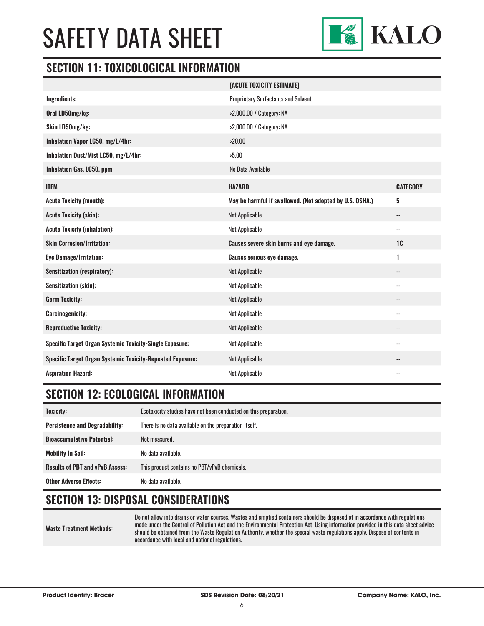

### **SECTION 11: TOXICOLOGICAL INFORMATION**

|                                                                   | [ACUTE TOXICITY ESTIMATE]                                |                          |
|-------------------------------------------------------------------|----------------------------------------------------------|--------------------------|
| Ingredients:                                                      | <b>Proprietary Surfactants and Solvent</b>               |                          |
| Oral LD50mg/kg:                                                   | >2,000.00 / Category: NA                                 |                          |
| Skin LD50mg/kg:                                                   | >2,000.00 / Category: NA                                 |                          |
| Inhalation Vapor LC50, mg/L/4hr:                                  | >20.00                                                   |                          |
| Inhalation Dust/Mist LC50, mg/L/4hr:                              | >5.00                                                    |                          |
| <b>Inhalation Gas, LC50, ppm</b>                                  | No Data Available                                        |                          |
| <b>ITEM</b>                                                       | <b>HAZARD</b>                                            | <b>CATEGORY</b>          |
| <b>Acute Toxicity (mouth):</b>                                    | May be harmful if swallowed. (Not adopted by U.S. OSHA.) | 5                        |
| <b>Acute Toxicity (skin):</b>                                     | <b>Not Applicable</b>                                    | $-$                      |
| <b>Acute Toxicity (inhalation):</b>                               | <b>Not Applicable</b>                                    | $\overline{\phantom{a}}$ |
| <b>Skin Corrosion/Irritation:</b>                                 | Causes severe skin burns and eye damage.                 | 1 <sub>C</sub>           |
| <b>Eye Damage/Irritation:</b>                                     | <b>Causes serious eye damage.</b>                        | 1                        |
| <b>Sensitization (respiratory):</b>                               | <b>Not Applicable</b>                                    | $\overline{\phantom{a}}$ |
| <b>Sensitization (skin):</b>                                      | <b>Not Applicable</b>                                    | $-$                      |
| <b>Germ Toxicity:</b>                                             | <b>Not Applicable</b>                                    | $-$                      |
| <b>Carcinogenicity:</b>                                           | <b>Not Applicable</b>                                    | $\overline{\phantom{a}}$ |
| <b>Reproductive Toxicity:</b>                                     | <b>Not Applicable</b>                                    | --                       |
| <b>Specific Target Organ Systemic Toxicity-Single Exposure:</b>   | <b>Not Applicable</b>                                    | $\overline{\phantom{a}}$ |
| <b>Specific Target Organ Systemic Toxicity-Repeated Exposure:</b> | <b>Not Applicable</b>                                    |                          |
| <b>Aspiration Hazard:</b>                                         | <b>Not Applicable</b>                                    | $-$                      |

## **SECTION 12: ECOLOGICAL INFORMATION**

| Toxicity:                              | Ecotoxicity studies have not been conducted on this preparation. |
|----------------------------------------|------------------------------------------------------------------|
| <b>Persistence and Degradability:</b>  | There is no data available on the preparation itself.            |
| <b>Bioaccumulative Potential:</b>      | Not measured.                                                    |
| <b>Mobility In Soil:</b>               | No data available.                                               |
| <b>Results of PBT and vPvB Assess:</b> | This product contains no PBT/vPvB chemicals.                     |
| <b>Other Adverse Effects:</b>          | No data available.                                               |

## **SECTION 13: DISPOSAL CONSIDERATIONS**

**Waste Treatment Methods:**

Do not allow into drains or water courses. Wastes and emptied containers should be disposed of in accordance with regulations made under the Control of Pollution Act and the Environmental Protection Act. Using information provided in this data sheet advice should be obtained from the Waste Regulation Authority, whether the special waste regulations apply. Dispose of contents in accordance with local and national regulations.